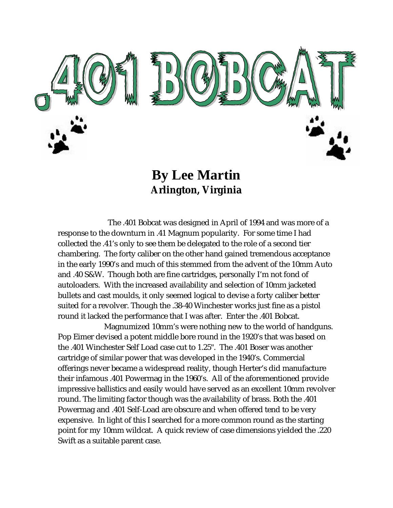

**By Lee Martin Arlington, Virginia**

 The .401 Bobcat was designed in April of 1994 and was more of a response to the downturn in .41 Magnum popularity. For some time I had collected the .41's only to see them be delegated to the role of a second tier chambering. The forty caliber on the other hand gained tremendous acceptance in the early 1990's and much of this stemmed from the advent of the 10mm Auto and .40 S&W. Though both are fine cartridges, personally I'm not fond of autoloaders. With the increased availability and selection of 10mm jacketed bullets and cast moulds, it only seemed logical to devise a forty caliber better suited for a revolver. Though the .38-40 Winchester works just fine as a pistol round it lacked the performance that I was after. Enter the .401 Bobcat.

 Magnumized 10mm's were nothing new to the world of handguns. Pop Eimer devised a potent middle bore round in the 1920's that was based on the .401 Winchester Self Load case cut to 1.25". The .401 Boser was another cartridge of similar power that was developed in the 1940's. Commercial offerings never became a widespread reality, though Herter's did manufacture their infamous .401 Powermag in the 1960's. All of the aforementioned provide impressive ballistics and easily would have served as an excellent 10mm revolver round. The limiting factor though was the availability of brass. Both the .401 Powermag and .401 Self-Load are obscure and when offered tend to be very expensive. In light of this I searched for a more common round as the starting point for my 10mm wildcat. A quick review of case dimensions yielded the .220 Swift as a suitable parent case.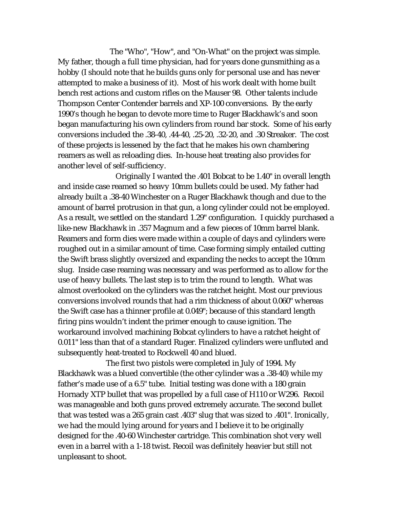The "Who", "How", and "On-What" on the project was simple. My father, though a full time physician, had for years done gunsmithing as a hobby (I should note that he builds guns only for personal use and has never attempted to make a business of it). Most of his work dealt with home built bench rest actions and custom rifles on the Mauser 98. Other talents include Thompson Center Contender barrels and XP-100 conversions. By the early 1990's though he began to devote more time to Ruger Blackhawk's and soon began manufacturing his own cylinders from round bar stock. Some of his early conversions included the .38-40, .44-40, .25-20, .32-20, and .30 Streaker. The cost of these projects is lessened by the fact that he makes his own chambering reamers as well as reloading dies. In-house heat treating also provides for another level of self-sufficiency.

 Originally I wanted the .401 Bobcat to be 1.40" in overall length and inside case reamed so heavy 10mm bullets could be used. My father had already built a .38-40 Winchester on a Ruger Blackhawk though and due to the amount of barrel protrusion in that gun, a long cylinder could not be employed. As a result, we settled on the standard 1.29" configuration. I quickly purchased a like-new Blackhawk in .357 Magnum and a few pieces of 10mm barrel blank. Reamers and form dies were made within a couple of days and cylinders were roughed out in a similar amount of time. Case forming simply entailed cutting the Swift brass slightly oversized and expanding the necks to accept the 10mm slug. Inside case reaming was necessary and was performed as to allow for the use of heavy bullets. The last step is to trim the round to length. What was almost overlooked on the cylinders was the ratchet height. Most our previous conversions involved rounds that had a rim thickness of about 0.060" whereas the Swift case has a thinner profile at 0.049"; because of this standard length firing pins wouldn't indent the primer enough to cause ignition. The workaround involved machining Bobcat cylinders to have a ratchet height of 0.011" less than that of a standard Ruger. Finalized cylinders were unfluted and subsequently heat-treated to Rockwell 40 and blued.

 The first two pistols were completed in July of 1994. My Blackhawk was a blued convertible (the other cylinder was a .38-40) while my father's made use of a 6.5" tube. Initial testing was done with a 180 grain Hornady XTP bullet that was propelled by a full case of H110 or W296. Recoil was manageable and both guns proved extremely accurate. The second bullet that was tested was a 265 grain cast .403" slug that was sized to .401". Ironically, we had the mould lying around for years and I believe it to be originally designed for the .40-60 Winchester cartridge. This combination shot very well even in a barrel with a 1-18 twist. Recoil was definitely heavier but still not unpleasant to shoot.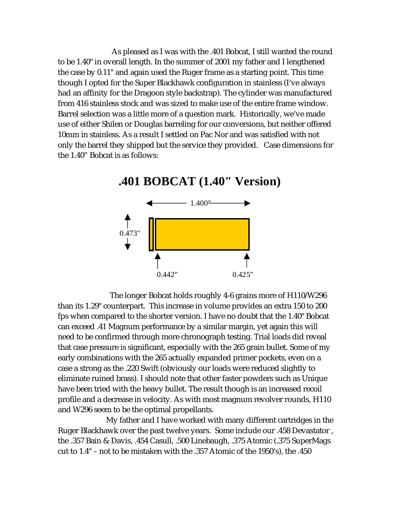As pleased as I was with the .401 Bobcat, I still wanted the round to be 1.40" in overall length. In the summer of 2001 my father and I lengthened the case by 0.11" and again used the Ruger frame as a starting point. This time though I opted for the Super Blackhawk configuration in stainless (I've always had an affinity for the Dragoon style backstrap). The cylinder was manufactured from 416 stainless stock and was sized to make use of the entire frame window. Barrel selection was a little more of a question mark. Historically, we've made use of either Shilen or Douglas barreling for our conversions, but neither offered 10mm in stainless. As a result I settled on Pac Nor and was satisfied with not only the barrel they shipped but the service they provided. Case dimensions for the 1.40" Bobcat is as follows:



 The longer Bobcat holds roughly 4-6 grains more of H110/W296 than its 1.29" counterpart. This increase in volume provides an extra 150 to 200 fps when compared to the shorter version. I have no doubt that the 1.40" Bobcat can exceed .41 Magnum performance by a similar margin, yet again this will need to be confirmed through more chronograph testing. Trial loads did reveal that case pressure is significant, especially with the 265 grain bullet. Some of my early combinations with the 265 actually expanded primer pockets, even on a case a strong as the .220 Swift (obviously our loads were reduced slightly to eliminate ruined brass). I should note that other faster powders such as Unique have been tried with the heavy bullet. The result though is an increased recoil profile and a decrease in velocity. As with most magnum revolver rounds, H110 and W296 seem to be the optimal propellants.

 My father and I have worked with many different cartridges in the Ruger Blackhawk over the past twelve years. Some include our .458 Devastator , the .357 Bain & Davis, .454 Casull, .500 Linebaugh, .375 Atomic (.375 SuperMags cut to 1.4" – not to be mistaken with the .357 Atomic of the 1950's), the .450